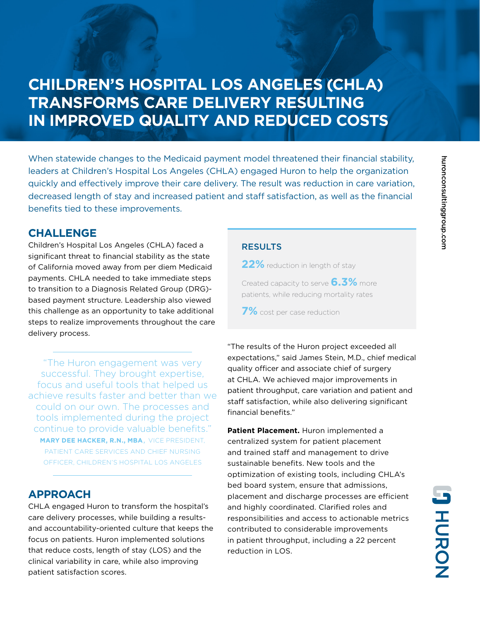# **CHILDREN'S HOSPITAL LOS ANGELES (CHLA) TRANSFORMS CARE DELIVERY RESULTING IN IMPROVED QUALITY AND REDUCED COSTS**

When statewide changes to the Medicaid payment model threatened their financial stability, leaders at Children's Hospital Los Angeles (CHLA) engaged Huron to help the organization quickly and effectively improve their care delivery. The result was reduction in care variation, decreased length of stay and increased patient and staff satisfaction, as well as the financial benefits tied to these improvements.

### **CHALLENGE**

Children's Hospital Los Angeles (CHLA) faced a significant threat to financial stability as the state of California moved away from per diem Medicaid payments. CHLA needed to take immediate steps to transition to a Diagnosis Related Group (DRG) based payment structure. Leadership also viewed this challenge as an opportunity to take additional steps to realize improvements throughout the care delivery process.

"The Huron engagement was very successful. They brought expertise, focus and useful tools that helped us achieve results faster and better than we could on our own. The processes and tools implemented during the project continue to provide valuable benefits." **MARY DEE HACKER, R.N., MBA**, VICE PRESIDENT, PATIENT CARE SERVICES AND CHIEF NURSING OFFICER, CHILDREN'S HOSPITAL LOS ANGELES

## **APPROACH**

CHLA engaged Huron to transform the hospital's care delivery processes, while building a resultsand accountability-oriented culture that keeps the focus on patients. Huron implemented solutions that reduce costs, length of stay (LOS) and the clinical variability in care, while also improving patient satisfaction scores.

### **RESULTS**

**22%** reduction in length of stay

Created capacity to serve **6.3%** more patients, while reducing mortality rates

**7%** cost per case reduction

"The results of the Huron project exceeded all expectations," said James Stein, M.D., chief medical quality officer and associate chief of surgery at CHLA. We achieved major improvements in patient throughput, care variation and patient and staff satisfaction, while also delivering significant financial benefits."

**Patient Placement.** Huron implemented a centralized system for patient placement and trained staff and management to drive sustainable benefits. New tools and the optimization of existing tools, including CHLA's bed board system, ensure that admissions, placement and discharge processes are efficient and highly coordinated. Clarified roles and responsibilities and access to actionable metrics contributed to considerable improvements in patient throughput, including a 22 percent reduction in LOS.